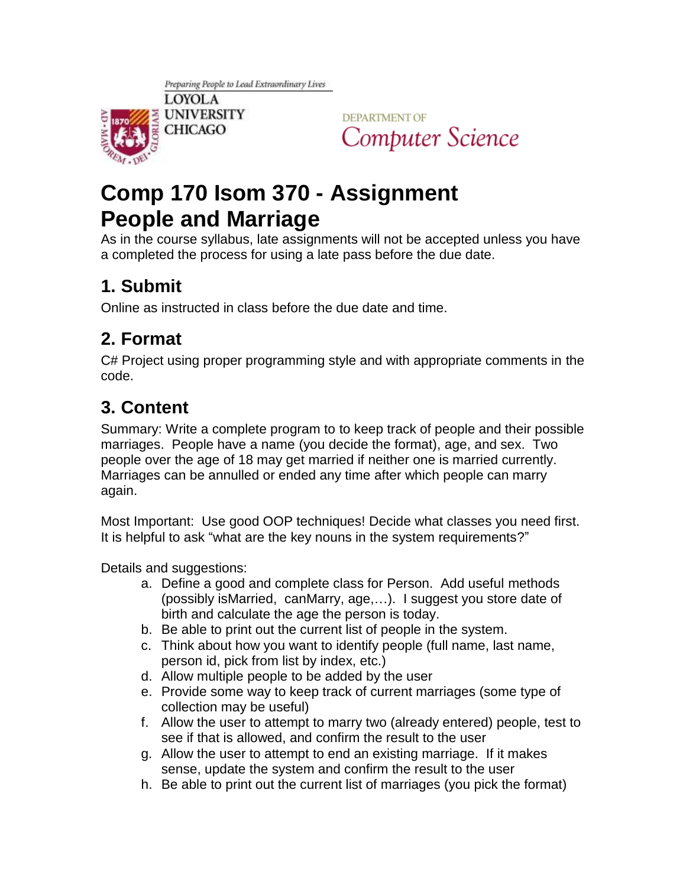

**DEPARTMENT OF** Computer Science

# **Comp 170 Isom 370 - Assignment People and Marriage**

As in the course syllabus, late assignments will not be accepted unless you have a completed the process for using a late pass before the due date.

#### **1. Submit**

Online as instructed in class before the due date and time.

### **2. Format**

C# Project using proper programming style and with appropriate comments in the code.

## **3. Content**

Summary: Write a complete program to to keep track of people and their possible marriages. People have a name (you decide the format), age, and sex. Two people over the age of 18 may get married if neither one is married currently. Marriages can be annulled or ended any time after which people can marry again.

Most Important: Use good OOP techniques! Decide what classes you need first. It is helpful to ask "what are the key nouns in the system requirements?"

Details and suggestions:

- a. Define a good and complete class for Person. Add useful methods (possibly isMarried, canMarry, age,…). I suggest you store date of birth and calculate the age the person is today.
- b. Be able to print out the current list of people in the system.
- c. Think about how you want to identify people (full name, last name, person id, pick from list by index, etc.)
- d. Allow multiple people to be added by the user
- e. Provide some way to keep track of current marriages (some type of collection may be useful)
- f. Allow the user to attempt to marry two (already entered) people, test to see if that is allowed, and confirm the result to the user
- g. Allow the user to attempt to end an existing marriage. If it makes sense, update the system and confirm the result to the user
- h. Be able to print out the current list of marriages (you pick the format)